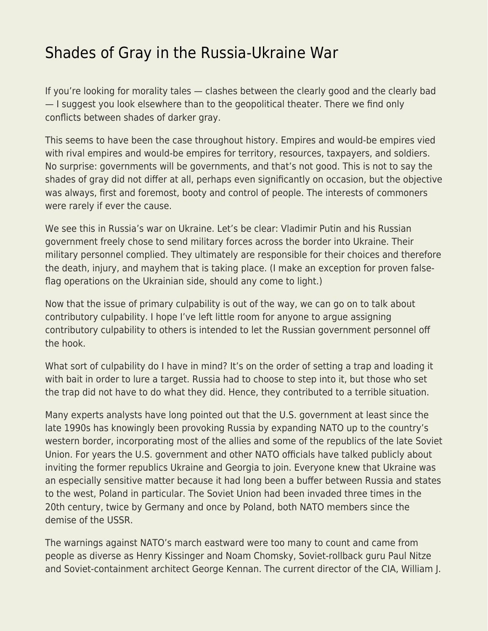## [Shades of Gray in the Russia-Ukraine War](https://everything-voluntary.com/shades-of-gray-in-the-russia-ukraine-war)

If you're looking for morality tales — clashes between the clearly good and the clearly bad — I suggest you look elsewhere than to the geopolitical theater. There we find only conflicts between shades of darker gray.

This seems to have been the case throughout history. Empires and would-be empires vied with rival empires and would-be empires for territory, resources, taxpayers, and soldiers. No surprise: governments will be governments, and that's not good. This is not to say the shades of gray did not differ at all, perhaps even significantly on occasion, but the objective was always, first and foremost, booty and control of people. The interests of commoners were rarely if ever the cause.

We see this in Russia's war on Ukraine. Let's be clear: Vladimir Putin and his Russian government freely chose to send military forces across the border into Ukraine. Their military personnel complied. They ultimately are responsible for their choices and therefore the death, injury, and mayhem that is taking place. (I make an exception for proven falseflag operations on the Ukrainian side, should any come to light.)

Now that the issue of primary culpability is out of the way, we can go on to talk about contributory culpability. I hope I've left little room for anyone to argue assigning contributory culpability to others is intended to let the Russian government personnel off the hook.

What sort of culpability do I have in mind? It's on the order of setting a trap and loading it with bait in order to lure a target. Russia had to choose to step into it, but those who set the trap did not have to do what they did. Hence, they contributed to a terrible situation.

Many experts analysts have long pointed out that the U.S. government at least since the late 1990s has knowingly been provoking Russia by expanding NATO up to the country's western border, incorporating most of the allies and some of the republics of the late Soviet Union. For years the U.S. government and other NATO officials have talked publicly about inviting the former republics Ukraine and Georgia to join. Everyone knew that Ukraine was an especially sensitive matter because it had long been a buffer between Russia and states to the west, Poland in particular. The Soviet Union had been invaded three times in the 20th century, twice by Germany and once by Poland, both NATO members since the demise of the USSR.

The warnings against NATO's march eastward were too many to count and came from people as diverse as Henry Kissinger and Noam Chomsky, Soviet-rollback guru Paul Nitze and Soviet-containment architect George Kennan. The current director of the CIA, William J.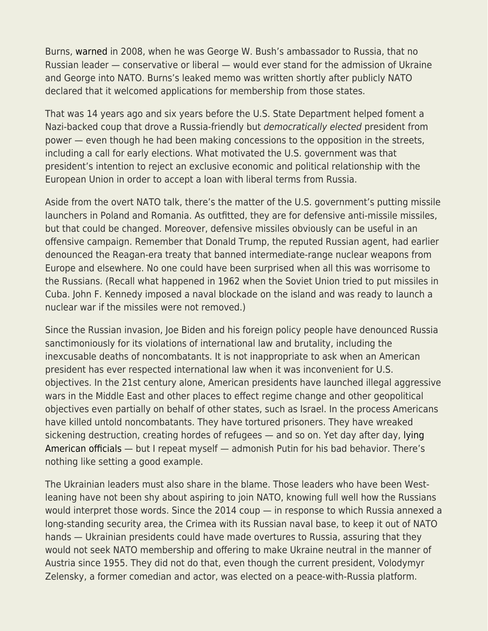Burns, [warned](https://twitter.com/wikileaks/status/1494809960286507009?lang=en) in 2008, when he was George W. Bush's ambassador to Russia, that no Russian leader — conservative or liberal — would ever stand for the admission of Ukraine and George into NATO. Burns's leaked memo was written shortly after publicly NATO declared that it welcomed applications for membership from those states.

That was 14 years ago and six years before the U.S. State Department helped foment a Nazi-backed coup that drove a Russia-friendly but democratically elected president from power — even though he had been making concessions to the opposition in the streets, including a call for early elections. What motivated the U.S. government was that president's intention to reject an exclusive economic and political relationship with the European Union in order to accept a loan with liberal terms from Russia.

Aside from the overt NATO talk, there's the matter of the U.S. government's putting missile launchers in Poland and Romania. As outfitted, they are for defensive anti-missile missiles, but that could be changed. Moreover, defensive missiles obviously can be useful in an offensive campaign. Remember that Donald Trump, the reputed Russian agent, had earlier denounced the Reagan-era treaty that banned intermediate-range nuclear weapons from Europe and elsewhere. No one could have been surprised when all this was worrisome to the Russians. (Recall what happened in 1962 when the Soviet Union tried to put missiles in Cuba. John F. Kennedy imposed a naval blockade on the island and was ready to launch a nuclear war if the missiles were not removed.)

Since the Russian invasion, Joe Biden and his foreign policy people have denounced Russia sanctimoniously for its violations of international law and brutality, including the inexcusable deaths of noncombatants. It is not inappropriate to ask when an American president has ever respected international law when it was inconvenient for U.S. objectives. In the 21st century alone, American presidents have launched illegal aggressive wars in the Middle East and other places to effect regime change and other geopolitical objectives even partially on behalf of other states, such as Israel. In the process Americans have killed untold noncombatants. They have tortured prisoners. They have wreaked sickening destruction, creating hordes of refugees — and so on. Yet day after day, [lying](https://caityjohnstone.medium.com/us-officials-admit-theyre-literally-just-lying-to-the-public-about-russia-c10743fbee22) [American officials](https://caityjohnstone.medium.com/us-officials-admit-theyre-literally-just-lying-to-the-public-about-russia-c10743fbee22) — but I repeat myself — admonish Putin for his bad behavior. There's nothing like setting a good example.

The Ukrainian leaders must also share in the blame. Those leaders who have been Westleaning have not been shy about aspiring to join NATO, knowing full well how the Russians would interpret those words. Since the 2014 coup — in response to which Russia annexed a long-standing security area, the Crimea with its Russian naval base, to keep it out of NATO hands — Ukrainian presidents could have made overtures to Russia, assuring that they would not seek NATO membership and offering to make Ukraine neutral in the manner of Austria since 1955. They did not do that, even though the current president, Volodymyr Zelensky, a former comedian and actor, was elected on a peace-with-Russia platform.